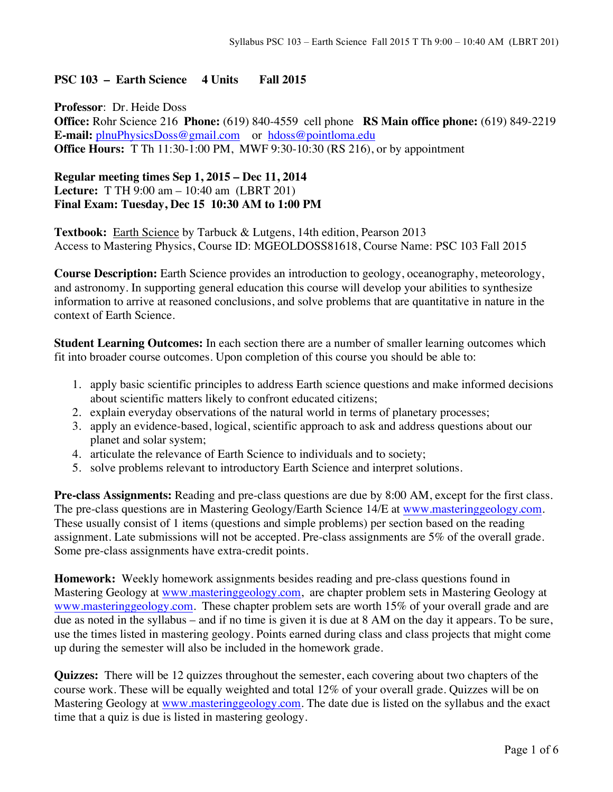## **PSC 103 – Earth Science 4 Units Fall 2015**

**Professor**: Dr. Heide Doss **Office:** Rohr Science 216 **Phone:** (619) 840-4559 cell phone **RS Main office phone:** (619) 849-2219 **E-mail:** plnuPhysicsDoss@gmail.com or hdoss@pointloma.edu **Office Hours:** T Th 11:30-1:00 PM, MWF 9:30-10:30 (RS 216), or by appointment

## **Regular meeting times Sep 1, 2015 – Dec 11, 2014 Lecture:** T TH 9:00 am – 10:40 am (LBRT 201) **Final Exam: Tuesday, Dec 15 10:30 AM to 1:00 PM**

**Textbook:** Earth Science by Tarbuck & Lutgens, 14th edition, Pearson 2013 Access to Mastering Physics, Course ID: MGEOLDOSS81618, Course Name: PSC 103 Fall 2015

**Course Description:** Earth Science provides an introduction to geology, oceanography, meteorology, and astronomy. In supporting general education this course will develop your abilities to synthesize information to arrive at reasoned conclusions, and solve problems that are quantitative in nature in the context of Earth Science.

**Student Learning Outcomes:** In each section there are a number of smaller learning outcomes which fit into broader course outcomes. Upon completion of this course you should be able to:

- 1. apply basic scientific principles to address Earth science questions and make informed decisions about scientific matters likely to confront educated citizens;
- 2. explain everyday observations of the natural world in terms of planetary processes;
- 3. apply an evidence-based, logical, scientific approach to ask and address questions about our planet and solar system;
- 4. articulate the relevance of Earth Science to individuals and to society;
- 5. solve problems relevant to introductory Earth Science and interpret solutions.

**Pre-class Assignments:** Reading and pre-class questions are due by 8:00 AM, except for the first class. The pre-class questions are in Mastering Geology/Earth Science 14/E at www.masteringgeology.com. These usually consist of 1 items (questions and simple problems) per section based on the reading assignment. Late submissions will not be accepted. Pre-class assignments are 5% of the overall grade. Some pre-class assignments have extra-credit points.

**Homework:** Weekly homework assignments besides reading and pre-class questions found in Mastering Geology at www.masteringgeology.com, are chapter problem sets in Mastering Geology at www.masteringgeology.com. These chapter problem sets are worth 15% of your overall grade and are due as noted in the syllabus – and if no time is given it is due at 8 AM on the day it appears. To be sure, use the times listed in mastering geology. Points earned during class and class projects that might come up during the semester will also be included in the homework grade.

**Quizzes:** There will be 12 quizzes throughout the semester, each covering about two chapters of the course work. These will be equally weighted and total 12% of your overall grade. Quizzes will be on Mastering Geology at www.masteringgeology.com. The date due is listed on the syllabus and the exact time that a quiz is due is listed in mastering geology.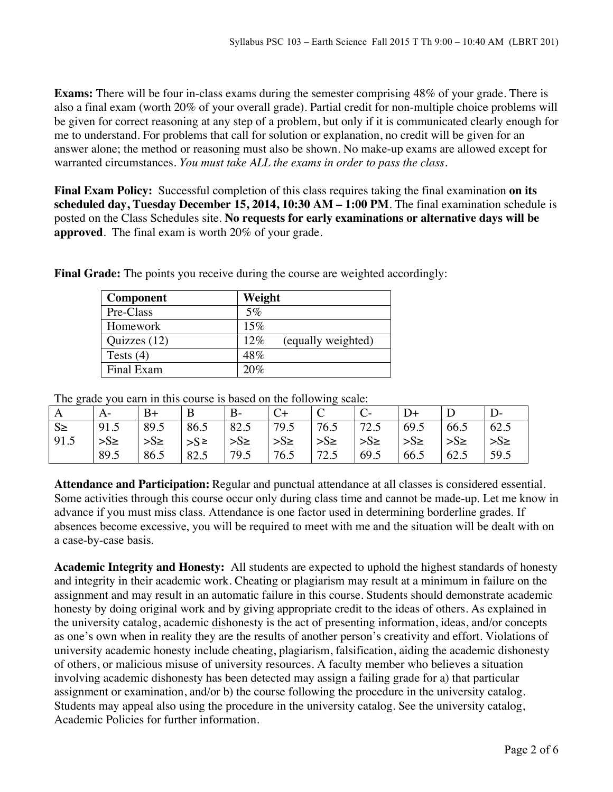**Exams:** There will be four in-class exams during the semester comprising 48% of your grade. There is also a final exam (worth 20% of your overall grade). Partial credit for non-multiple choice problems will be given for correct reasoning at any step of a problem, but only if it is communicated clearly enough for me to understand. For problems that call for solution or explanation, no credit will be given for an answer alone; the method or reasoning must also be shown. No make-up exams are allowed except for warranted circumstances. *You must take ALL the exams in order to pass the class*.

**Final Exam Policy:** Successful completion of this class requires taking the final examination **on its scheduled day, Tuesday December 15, 2014, 10:30 AM – 1:00 PM**. The final examination schedule is posted on the Class Schedules site. **No requests for early examinations or alternative days will be approved**. The final exam is worth 20% of your grade.

| <b>Component</b> | Weight                       |
|------------------|------------------------------|
| Pre-Class        | $5\%$                        |
| Homework         | 15%                          |
| Quizzes (12)     | $12\%$<br>(equally weighted) |
| Tests $(4)$      | 48%                          |
| Final Exam       | 20%                          |

**Final Grade:** The points you receive during the course are weighted accordingly:

The grade you earn in this course is based on the following scale:

| ັ<br>A  |          | B+       | B          | $B -$                 |         |                       |                       | D+      |            |          |
|---------|----------|----------|------------|-----------------------|---------|-----------------------|-----------------------|---------|------------|----------|
| $S \ge$ | 91.5     | 89.5     | 86.5       | $82.5$   79.5         |         | 76.5                  | 72.5                  | 69.5    | 66.5       | 62.5     |
| 91.5    | $>S\geq$ | $>S\geq$ | $ S^{\ge}$ | $\rightarrow$ S $\ge$ | $>S\ge$ | $\Rightarrow$ S $\ge$ | $\rightarrow$ S $\ge$ | $>S\ge$ | $>S_{\ge}$ | $>S\geq$ |
|         | 89.5     | 86.5     | 82.5       | 79.5                  | 76.5    | 72.5                  | 69.5                  | 66.5    | 62.5       | 59.5     |

**Attendance and Participation:** Regular and punctual attendance at all classes is considered essential. Some activities through this course occur only during class time and cannot be made-up. Let me know in advance if you must miss class. Attendance is one factor used in determining borderline grades. If absences become excessive, you will be required to meet with me and the situation will be dealt with on a case-by-case basis.

**Academic Integrity and Honesty:** All students are expected to uphold the highest standards of honesty and integrity in their academic work. Cheating or plagiarism may result at a minimum in failure on the assignment and may result in an automatic failure in this course. Students should demonstrate academic honesty by doing original work and by giving appropriate credit to the ideas of others. As explained in the university catalog, academic dishonesty is the act of presenting information, ideas, and/or concepts as one's own when in reality they are the results of another person's creativity and effort. Violations of university academic honesty include cheating, plagiarism, falsification, aiding the academic dishonesty of others, or malicious misuse of university resources. A faculty member who believes a situation involving academic dishonesty has been detected may assign a failing grade for a) that particular assignment or examination, and/or b) the course following the procedure in the university catalog. Students may appeal also using the procedure in the university catalog. See the university catalog, Academic Policies for further information.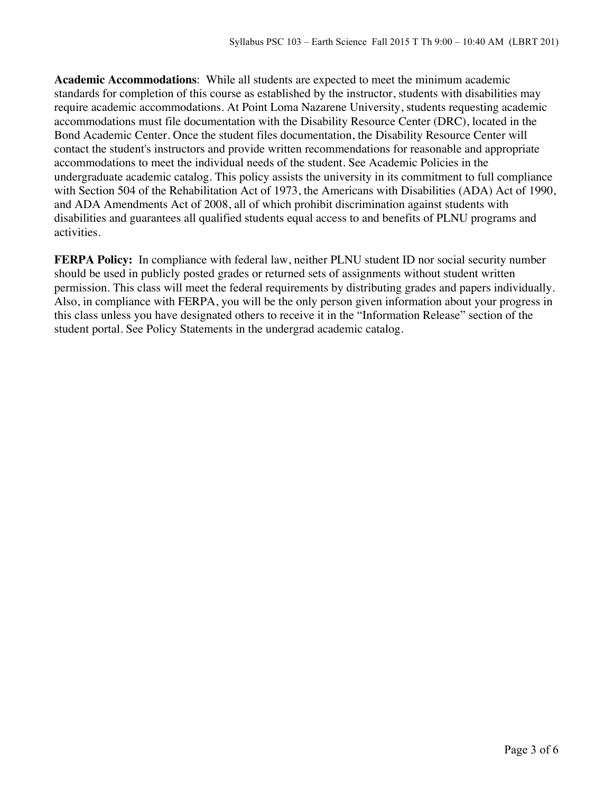**Academic Accommodations**: While all students are expected to meet the minimum academic standards for completion of this course as established by the instructor, students with disabilities may require academic accommodations. At Point Loma Nazarene University, students requesting academic accommodations must file documentation with the Disability Resource Center (DRC), located in the Bond Academic Center. Once the student files documentation, the Disability Resource Center will contact the student's instructors and provide written recommendations for reasonable and appropriate accommodations to meet the individual needs of the student. See Academic Policies in the undergraduate academic catalog. This policy assists the university in its commitment to full compliance with Section 504 of the Rehabilitation Act of 1973, the Americans with Disabilities (ADA) Act of 1990, and ADA Amendments Act of 2008, all of which prohibit discrimination against students with disabilities and guarantees all qualified students equal access to and benefits of PLNU programs and activities.

**FERPA Policy:** In compliance with federal law, neither PLNU student ID nor social security number should be used in publicly posted grades or returned sets of assignments without student written permission. This class will meet the federal requirements by distributing grades and papers individually. Also, in compliance with FERPA, you will be the only person given information about your progress in this class unless you have designated others to receive it in the "Information Release" section of the student portal. See Policy Statements in the undergrad academic catalog.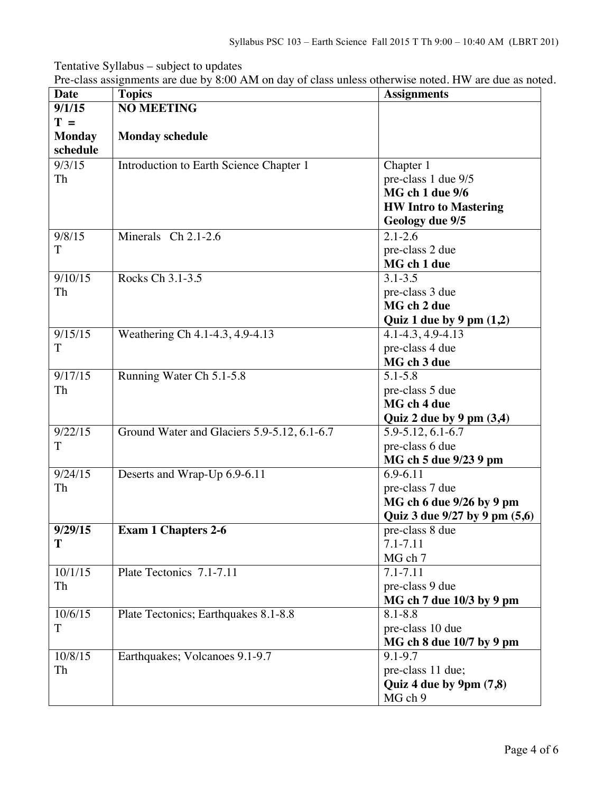Tentative Syllabus – subject to updates

|  |  | Pre-class assignments are due by 8:00 AM on day of class unless otherwise noted. HW are due as noted. |
|--|--|-------------------------------------------------------------------------------------------------------|
|  |  |                                                                                                       |

| <b>Date</b>   | <b>Topics</b>                               | <b>Assignments</b>                      |
|---------------|---------------------------------------------|-----------------------------------------|
| 9/1/15        | <b>NO MEETING</b>                           |                                         |
| $T =$         |                                             |                                         |
| <b>Monday</b> | <b>Monday schedule</b>                      |                                         |
| schedule      |                                             |                                         |
| 9/3/15        | Introduction to Earth Science Chapter 1     | Chapter 1                               |
| Th            |                                             | pre-class 1 due 9/5                     |
|               |                                             | MG ch 1 due 9/6                         |
|               |                                             | <b>HW Intro to Mastering</b>            |
|               |                                             | Geology due 9/5                         |
| 9/8/15        | Minerals Ch 2.1-2.6                         | $2.1 - 2.\overline{6}$                  |
| T             |                                             | pre-class 2 due                         |
|               |                                             | MG ch 1 due                             |
| 9/10/15       | Rocks Ch 3.1-3.5                            | $3.1 - 3.5$                             |
| Th            |                                             | pre-class 3 due                         |
|               |                                             | MG ch 2 due                             |
|               |                                             | Quiz 1 due by 9 pm $(1,2)$              |
| 9/15/15       | Weathering Ch 4.1-4.3, 4.9-4.13             | 4.1-4.3, 4.9-4.13                       |
| T             |                                             | pre-class 4 due                         |
|               |                                             | MG ch 3 due                             |
| 9/17/15       | Running Water Ch 5.1-5.8                    | $5.1 - 5.8$                             |
| Th            |                                             | pre-class 5 due                         |
|               |                                             | MG ch 4 due                             |
|               |                                             | Quiz 2 due by 9 pm $(3,4)$              |
| 9/22/15       | Ground Water and Glaciers 5.9-5.12, 6.1-6.7 | 5.9-5.12, 6.1-6.7                       |
| T             |                                             | pre-class 6 due                         |
|               |                                             | MG ch 5 due 9/23 9 pm                   |
| 9/24/15       | Deserts and Wrap-Up 6.9-6.11                | 6.9-6.11                                |
| Th            |                                             | pre-class 7 due                         |
|               |                                             | MG ch 6 due 9/26 by 9 pm                |
|               |                                             | Quiz 3 due 9/27 by 9 pm (5,6)           |
| 9/29/15       | <b>Exam 1 Chapters 2-6</b>                  | pre-class 8 due                         |
| T             |                                             | 7.1-7.11                                |
|               |                                             | MG ch 7                                 |
| 10/1/15       | Plate Tectonics 7.1-7.11                    | 7.1-7.11                                |
| Th            |                                             | pre-class 9 due                         |
|               |                                             | MG ch 7 due 10/3 by 9 pm                |
| 10/6/15       |                                             | $8.1 - 8.8$                             |
| $\mathbf T$   | Plate Tectonics; Earthquakes 8.1-8.8        | pre-class 10 due                        |
|               |                                             |                                         |
|               |                                             | MG ch 8 due 10/7 by 9 pm<br>$9.1 - 9.7$ |
| 10/8/15       | Earthquakes; Volcanoes 9.1-9.7              |                                         |
| Th            |                                             | pre-class 11 due;                       |
|               |                                             | Quiz 4 due by $9 \text{pm} (7,8)$       |
|               |                                             | MG ch 9                                 |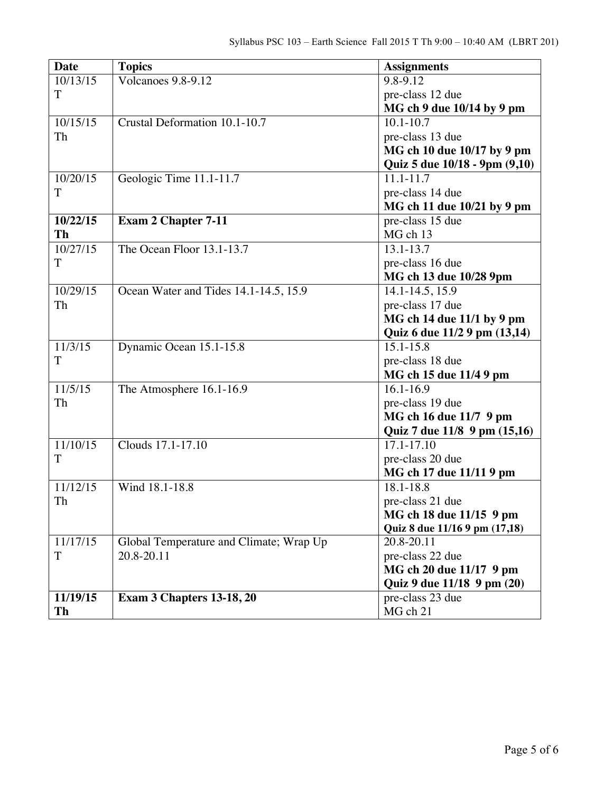| <b>Date</b>           | <b>Topics</b>                           | <b>Assignments</b>            |
|-----------------------|-----------------------------------------|-------------------------------|
| $\overline{10}/13/15$ | Volcanoes 9.8-9.12                      | 9.8-9.12                      |
| T                     |                                         | pre-class 12 due              |
|                       |                                         | MG ch 9 due 10/14 by 9 pm     |
| 10/15/15              | Crustal Deformation 10.1-10.7           | $10.1 - 10.7$                 |
| Th                    |                                         | pre-class 13 due              |
|                       |                                         | MG ch 10 due 10/17 by 9 pm    |
|                       |                                         | Quiz 5 due 10/18 - 9pm (9,10) |
| 10/20/15              | Geologic Time 11.1-11.7                 | 11.1-11.7                     |
| T                     |                                         | pre-class 14 due              |
|                       |                                         | MG ch 11 due 10/21 by 9 pm    |
| 10/22/15              | <b>Exam 2 Chapter 7-11</b>              | pre-class 15 due              |
| Th                    |                                         | MG ch 13                      |
| 10/27/15              | The Ocean Floor 13.1-13.7               | 13.1-13.7                     |
| T                     |                                         | pre-class 16 due              |
|                       |                                         | MG ch 13 due 10/28 9pm        |
| 10/29/15              | Ocean Water and Tides 14.1-14.5, 15.9   | $\overline{14.1}$ -14.5, 15.9 |
| Th                    |                                         | pre-class 17 due              |
|                       |                                         | MG ch 14 due 11/1 by 9 pm     |
|                       |                                         | Quiz 6 due 11/2 9 pm (13,14)  |
| 11/3/15               | Dynamic Ocean 15.1-15.8                 | $15.1 - 15.8$                 |
| T                     |                                         | pre-class 18 due              |
|                       |                                         | MG ch 15 due 11/4 9 pm        |
| 11/5/15               | The Atmosphere 16.1-16.9                | $16.1 - 16.9$                 |
| Th                    |                                         | pre-class 19 due              |
|                       |                                         | MG ch 16 due 11/7 9 pm        |
|                       |                                         | Quiz 7 due 11/8 9 pm (15,16)  |
| 11/10/15              | Clouds 17.1-17.10                       | $17.1 - 17.10$                |
| T                     |                                         | pre-class 20 due              |
|                       |                                         | MG ch 17 due 11/11 9 pm       |
| 11/12/15              | Wind 18.1-18.8                          | $18.1 - 18.8$                 |
| Th                    |                                         | pre-class 21 due              |
|                       |                                         | MG ch 18 due 11/15 9 pm       |
|                       |                                         | Quiz 8 due 11/16 9 pm (17,18) |
| 11/17/15              | Global Temperature and Climate; Wrap Up | 20.8-20.11                    |
| T                     | 20.8-20.11                              | pre-class 22 due              |
|                       |                                         | MG ch 20 due 11/17 9 pm       |
|                       |                                         | Quiz 9 due 11/18 9 pm (20)    |
| 11/19/15              | <b>Exam 3 Chapters 13-18, 20</b>        | pre-class 23 due              |
| Th                    |                                         | MG ch 21                      |